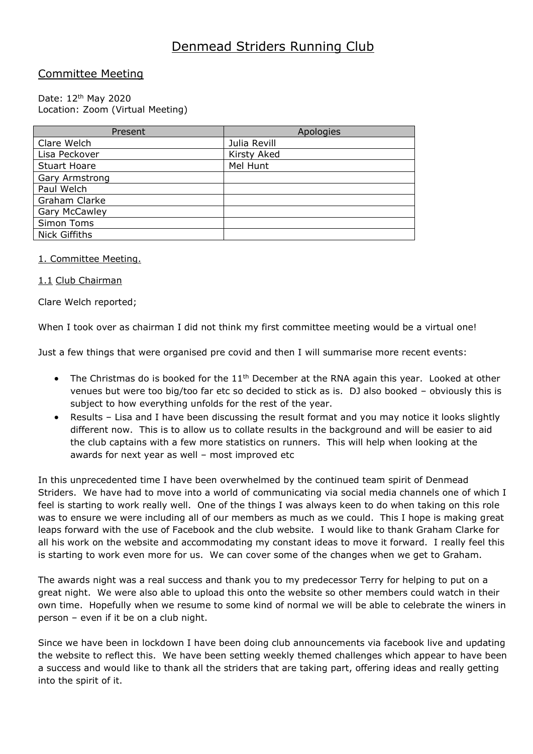# Denmead Striders Running Club

# Committee Meeting

#### Date: 12th May 2020 Location: Zoom (Virtual Meeting)

| Present              | Apologies    |
|----------------------|--------------|
| Clare Welch          | Julia Revill |
| Lisa Peckover        | Kirsty Aked  |
| <b>Stuart Hoare</b>  | Mel Hunt     |
| Gary Armstrong       |              |
| Paul Welch           |              |
| Graham Clarke        |              |
| <b>Gary McCawley</b> |              |
| Simon Toms           |              |
| <b>Nick Giffiths</b> |              |

## 1. Committee Meeting.

## 1.1 Club Chairman

Clare Welch reported;

When I took over as chairman I did not think my first committee meeting would be a virtual one!

Just a few things that were organised pre covid and then I will summarise more recent events:

- The Christmas do is booked for the  $11<sup>th</sup>$  December at the RNA again this year. Looked at other venues but were too big/too far etc so decided to stick as is. DJ also booked – obviously this is subject to how everything unfolds for the rest of the year.
- Results Lisa and I have been discussing the result format and you may notice it looks slightly different now. This is to allow us to collate results in the background and will be easier to aid the club captains with a few more statistics on runners. This will help when looking at the awards for next year as well – most improved etc

In this unprecedented time I have been overwhelmed by the continued team spirit of Denmead Striders. We have had to move into a world of communicating via social media channels one of which I feel is starting to work really well. One of the things I was always keen to do when taking on this role was to ensure we were including all of our members as much as we could. This I hope is making great leaps forward with the use of Facebook and the club website. I would like to thank Graham Clarke for all his work on the website and accommodating my constant ideas to move it forward. I really feel this is starting to work even more for us. We can cover some of the changes when we get to Graham.

The awards night was a real success and thank you to my predecessor Terry for helping to put on a great night. We were also able to upload this onto the website so other members could watch in their own time. Hopefully when we resume to some kind of normal we will be able to celebrate the winers in person – even if it be on a club night.

Since we have been in lockdown I have been doing club announcements via facebook live and updating the website to reflect this. We have been setting weekly themed challenges which appear to have been a success and would like to thank all the striders that are taking part, offering ideas and really getting into the spirit of it.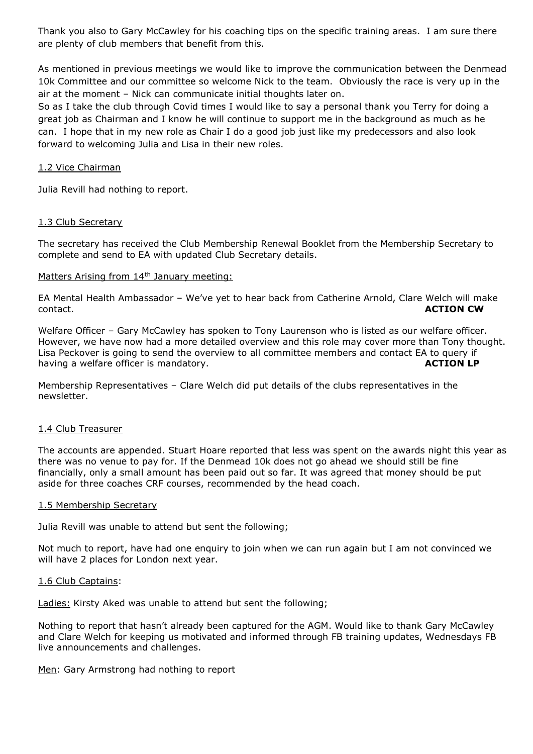Thank you also to Gary McCawley for his coaching tips on the specific training areas. I am sure there are plenty of club members that benefit from this.

As mentioned in previous meetings we would like to improve the communication between the Denmead 10k Committee and our committee so welcome Nick to the team. Obviously the race is very up in the air at the moment – Nick can communicate initial thoughts later on.

So as I take the club through Covid times I would like to say a personal thank you Terry for doing a great job as Chairman and I know he will continue to support me in the background as much as he can. I hope that in my new role as Chair I do a good job just like my predecessors and also look forward to welcoming Julia and Lisa in their new roles.

### 1.2 Vice Chairman

Julia Revill had nothing to report.

### 1.3 Club Secretary

The secretary has received the Club Membership Renewal Booklet from the Membership Secretary to complete and send to EA with updated Club Secretary details.

### Matters Arising from 14<sup>th</sup> January meeting:

EA Mental Health Ambassador – We've yet to hear back from Catherine Arnold, Clare Welch will make contact. **ACTION CW**

Welfare Officer – Gary McCawley has spoken to Tony Laurenson who is listed as our welfare officer. However, we have now had a more detailed overview and this role may cover more than Tony thought. Lisa Peckover is going to send the overview to all committee members and contact EA to query if having a welfare officer is mandatory. having a welfare officer is mandatory.

Membership Representatives – Clare Welch did put details of the clubs representatives in the newsletter.

#### 1.4 Club Treasurer

The accounts are appended. Stuart Hoare reported that less was spent on the awards night this year as there was no venue to pay for. If the Denmead 10k does not go ahead we should still be fine financially, only a small amount has been paid out so far. It was agreed that money should be put aside for three coaches CRF courses, recommended by the head coach.

#### 1.5 Membership Secretary

Julia Revill was unable to attend but sent the following;

Not much to report, have had one enquiry to join when we can run again but I am not convinced we will have 2 places for London next year.

#### 1.6 Club Captains:

Ladies: Kirsty Aked was unable to attend but sent the following;

Nothing to report that hasn't already been captured for the AGM. Would like to thank Gary McCawley and Clare Welch for keeping us motivated and informed through FB training updates, Wednesdays FB live announcements and challenges.

Men: Gary Armstrong had nothing to report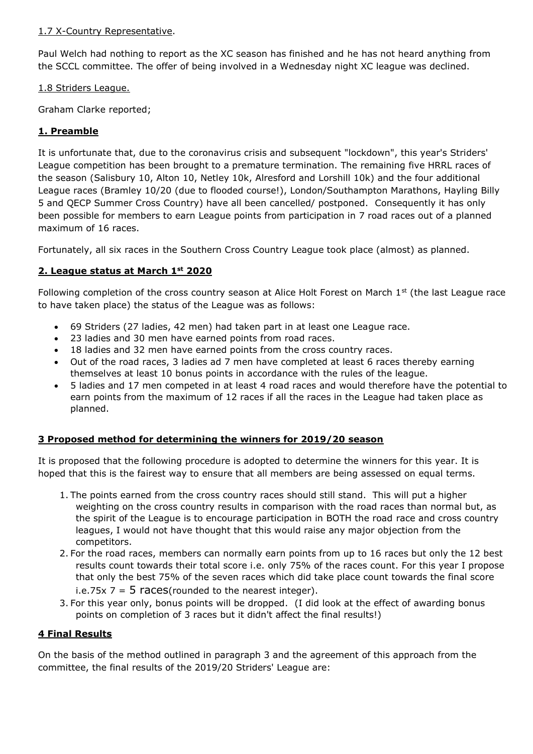# 1.7 X-Country Representative.

Paul Welch had nothing to report as the XC season has finished and he has not heard anything from the SCCL committee. The offer of being involved in a Wednesday night XC league was declined.

# 1.8 Striders League.

Graham Clarke reported;

# **1. Preamble**

It is unfortunate that, due to the coronavirus crisis and subsequent "lockdown", this year's Striders' League competition has been brought to a premature termination. The remaining five HRRL races of the season (Salisbury 10, Alton 10, Netley 10k, Alresford and Lorshill 10k) and the four additional League races (Bramley 10/20 (due to flooded course!), London/Southampton Marathons, Hayling Billy 5 and QECP Summer Cross Country) have all been cancelled/ postponed. Consequently it has only been possible for members to earn League points from participation in 7 road races out of a planned maximum of 16 races.

Fortunately, all six races in the Southern Cross Country League took place (almost) as planned.

# **2. League status at March 1st 2020**

Following completion of the cross country season at Alice Holt Forest on March 1<sup>st</sup> (the last League race to have taken place) the status of the League was as follows:

- 69 Striders (27 ladies, 42 men) had taken part in at least one League race.
- 23 ladies and 30 men have earned points from road races.
- 18 ladies and 32 men have earned points from the cross country races.
- Out of the road races, 3 ladies ad 7 men have completed at least 6 races thereby earning themselves at least 10 bonus points in accordance with the rules of the league.
- 5 ladies and 17 men competed in at least 4 road races and would therefore have the potential to earn points from the maximum of 12 races if all the races in the League had taken place as planned.

# **3 Proposed method for determining the winners for 2019/20 season**

It is proposed that the following procedure is adopted to determine the winners for this year. It is hoped that this is the fairest way to ensure that all members are being assessed on equal terms.

- 1. The points earned from the cross country races should still stand. This will put a higher weighting on the cross country results in comparison with the road races than normal but, as the spirit of the League is to encourage participation in BOTH the road race and cross country leagues, I would not have thought that this would raise any major objection from the competitors.
- 2. For the road races, members can normally earn points from up to 16 races but only the 12 best results count towards their total score i.e. only 75% of the races count. For this year I propose that only the best 75% of the seven races which did take place count towards the final score i.e.75x  $7 = 5$  races(rounded to the nearest integer).
- 3. For this year only, bonus points will be dropped. (I did look at the effect of awarding bonus points on completion of 3 races but it didn't affect the final results!)

# **4 Final Results**

On the basis of the method outlined in paragraph 3 and the agreement of this approach from the committee, the final results of the 2019/20 Striders' League are: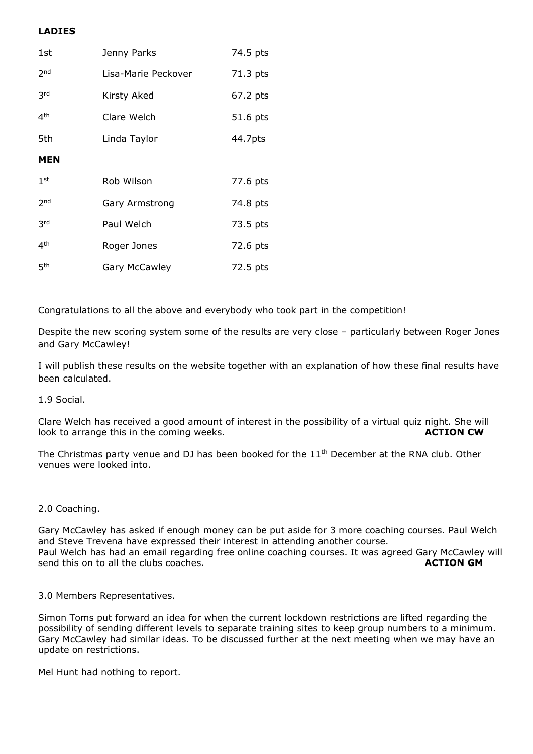# **LADIES**

| 1st             | Jenny Parks         | 74.5 pts |
|-----------------|---------------------|----------|
| 2 <sub>nd</sub> | Lisa-Marie Peckover | 71.3 pts |
| 3 <sup>rd</sup> | Kirsty Aked         | 67.2 pts |
| 4 <sup>th</sup> | Clare Welch         | 51.6 pts |
| 5th             | Linda Taylor        | 44.7pts  |
| <b>MEN</b>      |                     |          |
| 1 <sup>st</sup> | Rob Wilson          | 77.6 pts |
| 2 <sub>nd</sub> | Gary Armstrong      | 74.8 pts |
| 3 <sup>rd</sup> | Paul Welch          | 73.5 pts |
| 4 <sup>th</sup> | Roger Jones         | 72.6 pts |
| 5 <sup>th</sup> | Gary McCawley       | 72.5 pts |

Congratulations to all the above and everybody who took part in the competition!

Despite the new scoring system some of the results are very close – particularly between Roger Jones and Gary McCawley!

I will publish these results on the website together with an explanation of how these final results have been calculated.

## 1.9 Social.

Clare Welch has received a good amount of interest in the possibility of a virtual quiz night. She will look to arrange this in the coming weeks. **ACTION CW** 

The Christmas party venue and DJ has been booked for the 11<sup>th</sup> December at the RNA club. Other venues were looked into.

#### 2.0 Coaching.

Gary McCawley has asked if enough money can be put aside for 3 more coaching courses. Paul Welch and Steve Trevena have expressed their interest in attending another course. Paul Welch has had an email regarding free online coaching courses. It was agreed Gary McCawley will send this on to all the clubs coaches. **ACTION GM**

#### 3.0 Members Representatives.

Simon Toms put forward an idea for when the current lockdown restrictions are lifted regarding the possibility of sending different levels to separate training sites to keep group numbers to a minimum. Gary McCawley had similar ideas. To be discussed further at the next meeting when we may have an update on restrictions.

Mel Hunt had nothing to report.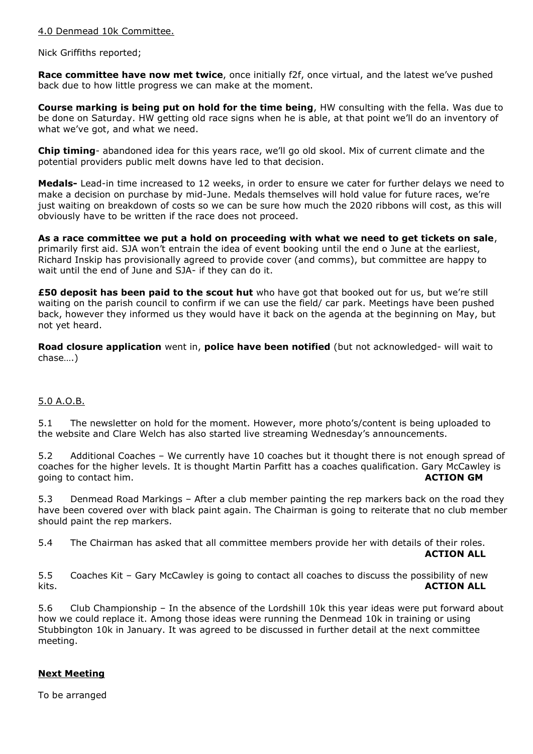### 4.0 Denmead 10k Committee.

### Nick Griffiths reported;

**Race committee have now met twice**, once initially f2f, once virtual, and the latest we've pushed back due to how little progress we can make at the moment.

**Course marking is being put on hold for the time being**, HW consulting with the fella. Was due to be done on Saturday. HW getting old race signs when he is able, at that point we'll do an inventory of what we've got, and what we need.

**Chip timing**- abandoned idea for this years race, we'll go old skool. Mix of current climate and the potential providers public melt downs have led to that decision.

**Medals-** Lead-in time increased to 12 weeks, in order to ensure we cater for further delays we need to make a decision on purchase by mid-June. Medals themselves will hold value for future races, we're just waiting on breakdown of costs so we can be sure how much the 2020 ribbons will cost, as this will obviously have to be written if the race does not proceed.

**As a race committee we put a hold on proceeding with what we need to get tickets on sale**, primarily first aid. SJA won't entrain the idea of event booking until the end o June at the earliest, Richard Inskip has provisionally agreed to provide cover (and comms), but committee are happy to wait until the end of June and SJA- if they can do it.

**£50 deposit has been paid to the scout hut** who have got that booked out for us, but we're still waiting on the parish council to confirm if we can use the field/ car park. Meetings have been pushed back, however they informed us they would have it back on the agenda at the beginning on May, but not yet heard.

**Road closure application** went in, **police have been notified** (but not acknowledged- will wait to chase….)

## 5.0 A.O.B.

5.1 The newsletter on hold for the moment. However, more photo's/content is being uploaded to the website and Clare Welch has also started live streaming Wednesday's announcements.

5.2 Additional Coaches – We currently have 10 coaches but it thought there is not enough spread of coaches for the higher levels. It is thought Martin Parfitt has a coaches qualification. Gary McCawley is going to contact him. **ACTION GM**

5.3 Denmead Road Markings – After a club member painting the rep markers back on the road they have been covered over with black paint again. The Chairman is going to reiterate that no club member should paint the rep markers.

5.4 The Chairman has asked that all committee members provide her with details of their roles.

**ACTION ALL**

5.5 Coaches Kit – Gary McCawley is going to contact all coaches to discuss the possibility of new kits. **ACTION ALL**

5.6 Club Championship – In the absence of the Lordshill 10k this year ideas were put forward about how we could replace it. Among those ideas were running the Denmead 10k in training or using Stubbington 10k in January. It was agreed to be discussed in further detail at the next committee meeting.

## **Next Meeting**

To be arranged